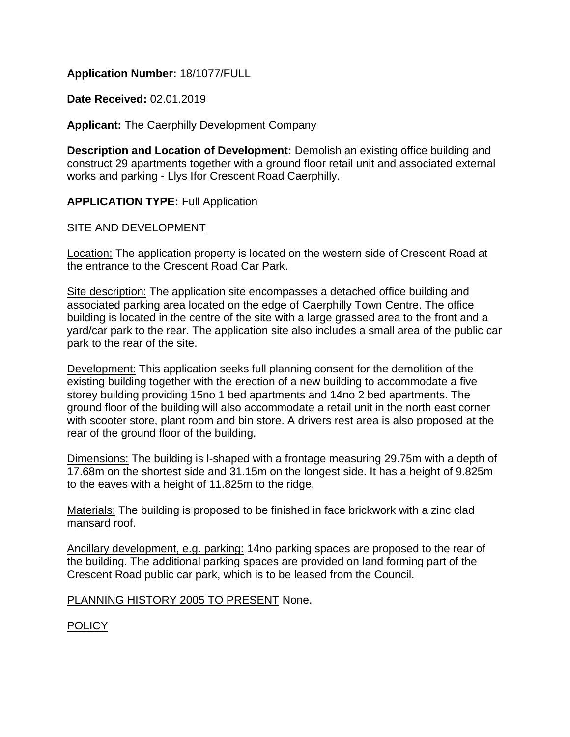### **Application Number:** 18/1077/FULL

**Date Received:** 02.01.2019

**Applicant:** The Caerphilly Development Company

**Description and Location of Development:** Demolish an existing office building and construct 29 apartments together with a ground floor retail unit and associated external works and parking - Llys Ifor Crescent Road Caerphilly.

**APPLICATION TYPE:** Full Application

### SITE AND DEVELOPMENT

Location: The application property is located on the western side of Crescent Road at the entrance to the Crescent Road Car Park.

Site description: The application site encompasses a detached office building and associated parking area located on the edge of Caerphilly Town Centre. The office building is located in the centre of the site with a large grassed area to the front and a yard/car park to the rear. The application site also includes a small area of the public car park to the rear of the site.

Development: This application seeks full planning consent for the demolition of the existing building together with the erection of a new building to accommodate a five storey building providing 15no 1 bed apartments and 14no 2 bed apartments. The ground floor of the building will also accommodate a retail unit in the north east corner with scooter store, plant room and bin store. A drivers rest area is also proposed at the rear of the ground floor of the building.

Dimensions: The building is l-shaped with a frontage measuring 29.75m with a depth of 17.68m on the shortest side and 31.15m on the longest side. It has a height of 9.825m to the eaves with a height of 11.825m to the ridge.

Materials: The building is proposed to be finished in face brickwork with a zinc clad mansard roof.

Ancillary development, e.g. parking: 14no parking spaces are proposed to the rear of the building. The additional parking spaces are provided on land forming part of the Crescent Road public car park, which is to be leased from the Council.

PLANNING HISTORY 2005 TO PRESENT None.

POLICY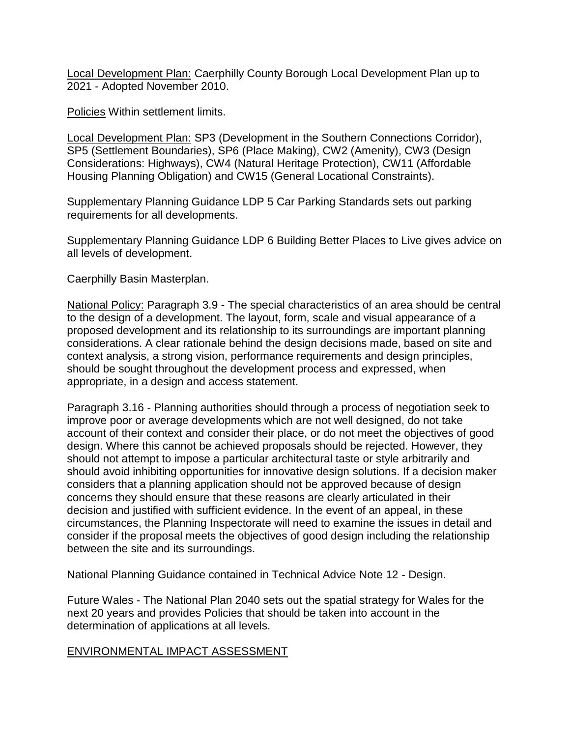Local Development Plan: Caerphilly County Borough Local Development Plan up to 2021 - Adopted November 2010.

Policies Within settlement limits.

Local Development Plan: SP3 (Development in the Southern Connections Corridor), SP5 (Settlement Boundaries), SP6 (Place Making), CW2 (Amenity), CW3 (Design Considerations: Highways), CW4 (Natural Heritage Protection), CW11 (Affordable Housing Planning Obligation) and CW15 (General Locational Constraints).

Supplementary Planning Guidance LDP 5 Car Parking Standards sets out parking requirements for all developments.

Supplementary Planning Guidance LDP 6 Building Better Places to Live gives advice on all levels of development.

Caerphilly Basin Masterplan.

National Policy: Paragraph 3.9 - The special characteristics of an area should be central to the design of a development. The layout, form, scale and visual appearance of a proposed development and its relationship to its surroundings are important planning considerations. A clear rationale behind the design decisions made, based on site and context analysis, a strong vision, performance requirements and design principles, should be sought throughout the development process and expressed, when appropriate, in a design and access statement.

Paragraph 3.16 - Planning authorities should through a process of negotiation seek to improve poor or average developments which are not well designed, do not take account of their context and consider their place, or do not meet the objectives of good design. Where this cannot be achieved proposals should be rejected. However, they should not attempt to impose a particular architectural taste or style arbitrarily and should avoid inhibiting opportunities for innovative design solutions. If a decision maker considers that a planning application should not be approved because of design concerns they should ensure that these reasons are clearly articulated in their decision and justified with sufficient evidence. In the event of an appeal, in these circumstances, the Planning Inspectorate will need to examine the issues in detail and consider if the proposal meets the objectives of good design including the relationship between the site and its surroundings.

National Planning Guidance contained in Technical Advice Note 12 - Design.

Future Wales - The National Plan 2040 sets out the spatial strategy for Wales for the next 20 years and provides Policies that should be taken into account in the determination of applications at all levels.

### ENVIRONMENTAL IMPACT ASSESSMENT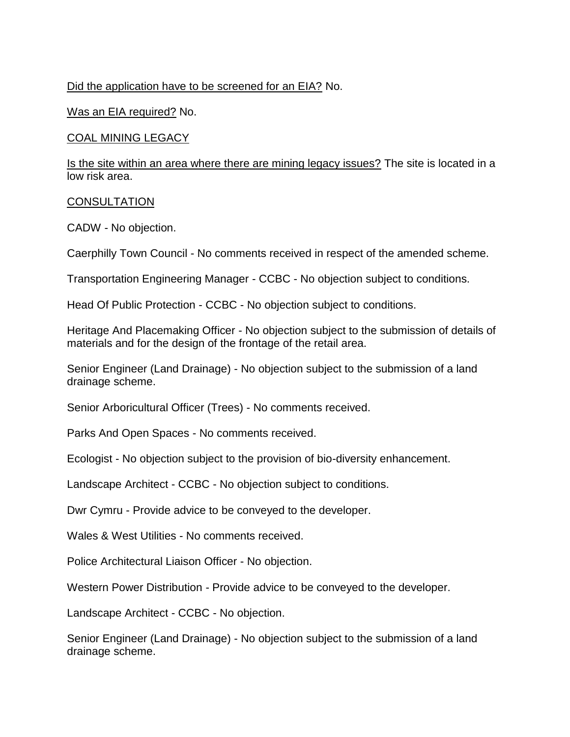## Did the application have to be screened for an EIA? No.

Was an EIA required? No.

COAL MINING LEGACY

Is the site within an area where there are mining legacy issues? The site is located in a low risk area.

#### **CONSULTATION**

CADW - No objection.

Caerphilly Town Council - No comments received in respect of the amended scheme.

Transportation Engineering Manager - CCBC - No objection subject to conditions.

Head Of Public Protection - CCBC - No objection subject to conditions.

Heritage And Placemaking Officer - No objection subject to the submission of details of materials and for the design of the frontage of the retail area.

Senior Engineer (Land Drainage) - No objection subject to the submission of a land drainage scheme.

Senior Arboricultural Officer (Trees) - No comments received.

Parks And Open Spaces - No comments received.

Ecologist - No objection subject to the provision of bio-diversity enhancement.

Landscape Architect - CCBC - No objection subject to conditions.

Dwr Cymru - Provide advice to be conveyed to the developer.

Wales & West Utilities - No comments received.

Police Architectural Liaison Officer - No objection.

Western Power Distribution - Provide advice to be conveyed to the developer.

Landscape Architect - CCBC - No objection.

Senior Engineer (Land Drainage) - No objection subject to the submission of a land drainage scheme.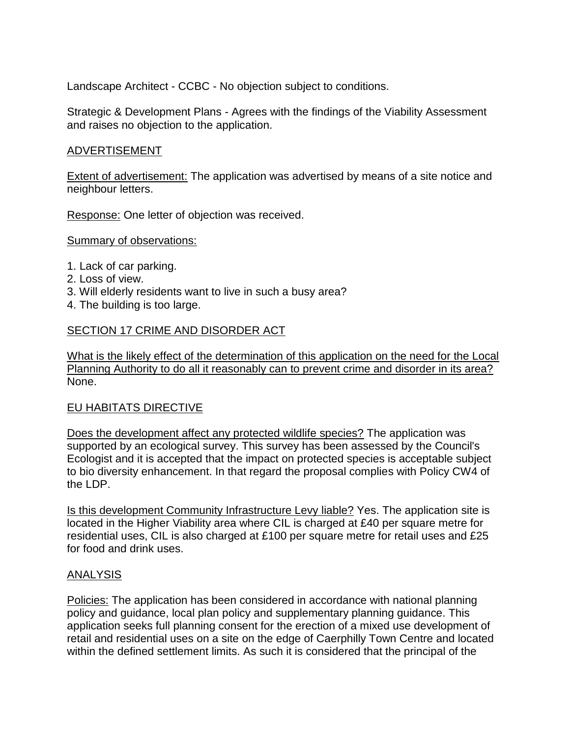Landscape Architect - CCBC - No objection subject to conditions.

Strategic & Development Plans - Agrees with the findings of the Viability Assessment and raises no objection to the application.

### ADVERTISEMENT

Extent of advertisement: The application was advertised by means of a site notice and neighbour letters.

Response: One letter of objection was received.

Summary of observations:

- 1. Lack of car parking.
- 2. Loss of view.
- 3. Will elderly residents want to live in such a busy area?
- 4. The building is too large.

## SECTION 17 CRIME AND DISORDER ACT

What is the likely effect of the determination of this application on the need for the Local Planning Authority to do all it reasonably can to prevent crime and disorder in its area? None.

### EU HABITATS DIRECTIVE

Does the development affect any protected wildlife species? The application was supported by an ecological survey. This survey has been assessed by the Council's Ecologist and it is accepted that the impact on protected species is acceptable subject to bio diversity enhancement. In that regard the proposal complies with Policy CW4 of the LDP.

Is this development Community Infrastructure Levy liable? Yes. The application site is located in the Higher Viability area where CIL is charged at £40 per square metre for residential uses, CIL is also charged at £100 per square metre for retail uses and £25 for food and drink uses.

### ANALYSIS

Policies: The application has been considered in accordance with national planning policy and guidance, local plan policy and supplementary planning guidance. This application seeks full planning consent for the erection of a mixed use development of retail and residential uses on a site on the edge of Caerphilly Town Centre and located within the defined settlement limits. As such it is considered that the principal of the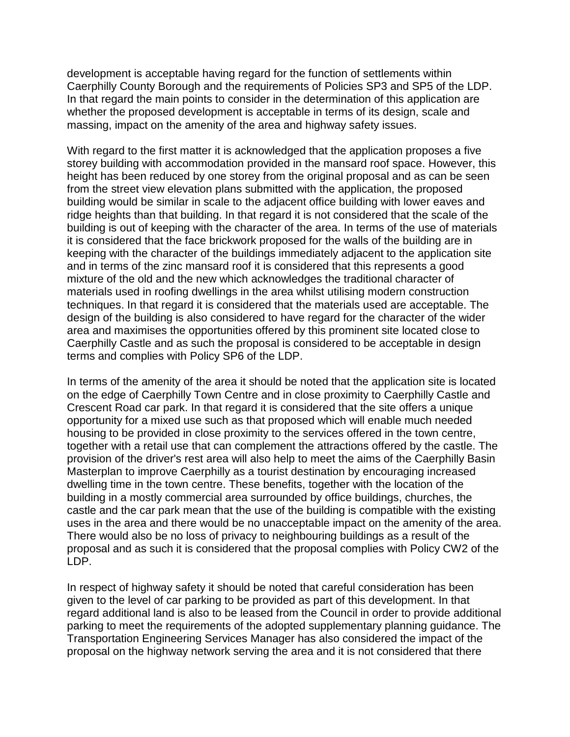development is acceptable having regard for the function of settlements within Caerphilly County Borough and the requirements of Policies SP3 and SP5 of the LDP. In that regard the main points to consider in the determination of this application are whether the proposed development is acceptable in terms of its design, scale and massing, impact on the amenity of the area and highway safety issues.

With regard to the first matter it is acknowledged that the application proposes a five storey building with accommodation provided in the mansard roof space. However, this height has been reduced by one storey from the original proposal and as can be seen from the street view elevation plans submitted with the application, the proposed building would be similar in scale to the adjacent office building with lower eaves and ridge heights than that building. In that regard it is not considered that the scale of the building is out of keeping with the character of the area. In terms of the use of materials it is considered that the face brickwork proposed for the walls of the building are in keeping with the character of the buildings immediately adjacent to the application site and in terms of the zinc mansard roof it is considered that this represents a good mixture of the old and the new which acknowledges the traditional character of materials used in roofing dwellings in the area whilst utilising modern construction techniques. In that regard it is considered that the materials used are acceptable. The design of the building is also considered to have regard for the character of the wider area and maximises the opportunities offered by this prominent site located close to Caerphilly Castle and as such the proposal is considered to be acceptable in design terms and complies with Policy SP6 of the LDP.

In terms of the amenity of the area it should be noted that the application site is located on the edge of Caerphilly Town Centre and in close proximity to Caerphilly Castle and Crescent Road car park. In that regard it is considered that the site offers a unique opportunity for a mixed use such as that proposed which will enable much needed housing to be provided in close proximity to the services offered in the town centre, together with a retail use that can complement the attractions offered by the castle. The provision of the driver's rest area will also help to meet the aims of the Caerphilly Basin Masterplan to improve Caerphilly as a tourist destination by encouraging increased dwelling time in the town centre. These benefits, together with the location of the building in a mostly commercial area surrounded by office buildings, churches, the castle and the car park mean that the use of the building is compatible with the existing uses in the area and there would be no unacceptable impact on the amenity of the area. There would also be no loss of privacy to neighbouring buildings as a result of the proposal and as such it is considered that the proposal complies with Policy CW2 of the LDP.

In respect of highway safety it should be noted that careful consideration has been given to the level of car parking to be provided as part of this development. In that regard additional land is also to be leased from the Council in order to provide additional parking to meet the requirements of the adopted supplementary planning guidance. The Transportation Engineering Services Manager has also considered the impact of the proposal on the highway network serving the area and it is not considered that there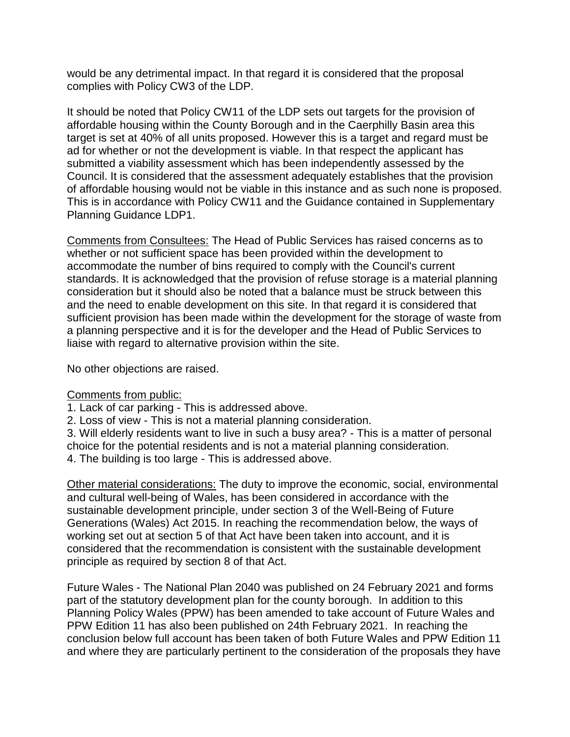would be any detrimental impact. In that regard it is considered that the proposal complies with Policy CW3 of the LDP.

It should be noted that Policy CW11 of the LDP sets out targets for the provision of affordable housing within the County Borough and in the Caerphilly Basin area this target is set at 40% of all units proposed. However this is a target and regard must be ad for whether or not the development is viable. In that respect the applicant has submitted a viability assessment which has been independently assessed by the Council. It is considered that the assessment adequately establishes that the provision of affordable housing would not be viable in this instance and as such none is proposed. This is in accordance with Policy CW11 and the Guidance contained in Supplementary Planning Guidance LDP1.

Comments from Consultees: The Head of Public Services has raised concerns as to whether or not sufficient space has been provided within the development to accommodate the number of bins required to comply with the Council's current standards. It is acknowledged that the provision of refuse storage is a material planning consideration but it should also be noted that a balance must be struck between this and the need to enable development on this site. In that regard it is considered that sufficient provision has been made within the development for the storage of waste from a planning perspective and it is for the developer and the Head of Public Services to liaise with regard to alternative provision within the site.

No other objections are raised.

# Comments from public:

- 1. Lack of car parking This is addressed above.
- 2. Loss of view This is not a material planning consideration.

3. Will elderly residents want to live in such a busy area? - This is a matter of personal choice for the potential residents and is not a material planning consideration.

4. The building is too large - This is addressed above.

Other material considerations: The duty to improve the economic, social, environmental and cultural well-being of Wales, has been considered in accordance with the sustainable development principle, under section 3 of the Well-Being of Future Generations (Wales) Act 2015. In reaching the recommendation below, the ways of working set out at section 5 of that Act have been taken into account, and it is considered that the recommendation is consistent with the sustainable development principle as required by section 8 of that Act.

Future Wales - The National Plan 2040 was published on 24 February 2021 and forms part of the statutory development plan for the county borough. In addition to this Planning Policy Wales (PPW) has been amended to take account of Future Wales and PPW Edition 11 has also been published on 24th February 2021. In reaching the conclusion below full account has been taken of both Future Wales and PPW Edition 11 and where they are particularly pertinent to the consideration of the proposals they have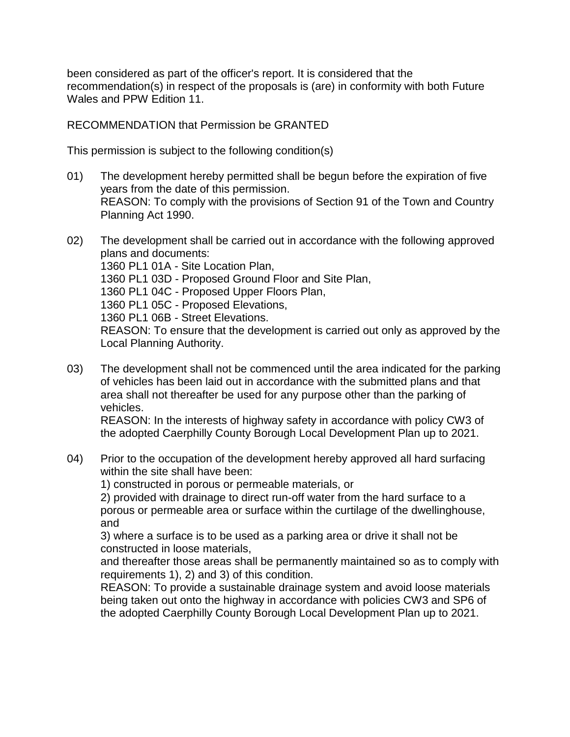been considered as part of the officer's report. It is considered that the recommendation(s) in respect of the proposals is (are) in conformity with both Future Wales and PPW Edition 11.

RECOMMENDATION that Permission be GRANTED

This permission is subject to the following condition(s)

01) The development hereby permitted shall be begun before the expiration of five years from the date of this permission. REASON: To comply with the provisions of Section 91 of the Town and Country Planning Act 1990.

02) The development shall be carried out in accordance with the following approved plans and documents: 1360 PL1 01A - Site Location Plan, 1360 PL1 03D - Proposed Ground Floor and Site Plan, 1360 PL1 04C - Proposed Upper Floors Plan, 1360 PL1 05C - Proposed Elevations, 1360 PL1 06B - Street Elevations. REASON: To ensure that the development is carried out only as approved by the Local Planning Authority.

03) The development shall not be commenced until the area indicated for the parking of vehicles has been laid out in accordance with the submitted plans and that area shall not thereafter be used for any purpose other than the parking of vehicles.

REASON: In the interests of highway safety in accordance with policy CW3 of the adopted Caerphilly County Borough Local Development Plan up to 2021.

04) Prior to the occupation of the development hereby approved all hard surfacing within the site shall have been:

1) constructed in porous or permeable materials, or

2) provided with drainage to direct run-off water from the hard surface to a porous or permeable area or surface within the curtilage of the dwellinghouse, and

3) where a surface is to be used as a parking area or drive it shall not be constructed in loose materials,

and thereafter those areas shall be permanently maintained so as to comply with requirements 1), 2) and 3) of this condition.

REASON: To provide a sustainable drainage system and avoid loose materials being taken out onto the highway in accordance with policies CW3 and SP6 of the adopted Caerphilly County Borough Local Development Plan up to 2021.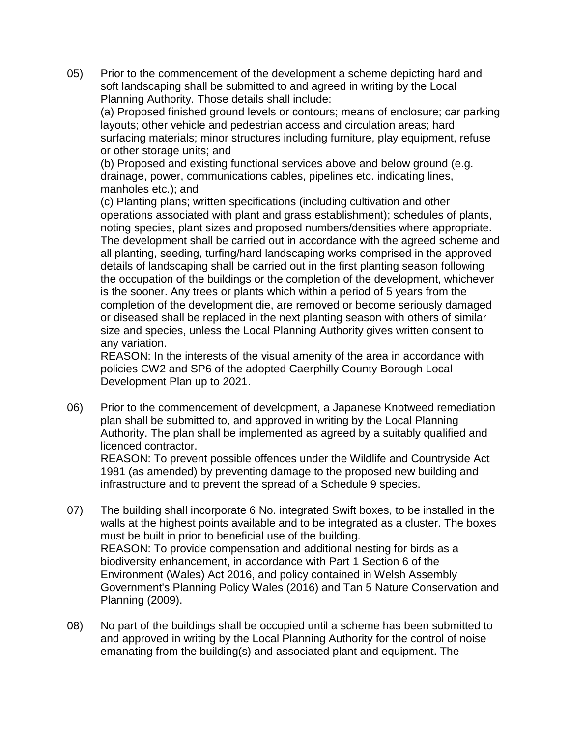05) Prior to the commencement of the development a scheme depicting hard and soft landscaping shall be submitted to and agreed in writing by the Local Planning Authority. Those details shall include:

(a) Proposed finished ground levels or contours; means of enclosure; car parking layouts; other vehicle and pedestrian access and circulation areas; hard surfacing materials; minor structures including furniture, play equipment, refuse or other storage units; and

(b) Proposed and existing functional services above and below ground (e.g. drainage, power, communications cables, pipelines etc. indicating lines, manholes etc.); and

(c) Planting plans; written specifications (including cultivation and other operations associated with plant and grass establishment); schedules of plants, noting species, plant sizes and proposed numbers/densities where appropriate. The development shall be carried out in accordance with the agreed scheme and all planting, seeding, turfing/hard landscaping works comprised in the approved details of landscaping shall be carried out in the first planting season following the occupation of the buildings or the completion of the development, whichever is the sooner. Any trees or plants which within a period of 5 years from the completion of the development die, are removed or become seriously damaged or diseased shall be replaced in the next planting season with others of similar size and species, unless the Local Planning Authority gives written consent to any variation.

REASON: In the interests of the visual amenity of the area in accordance with policies CW2 and SP6 of the adopted Caerphilly County Borough Local Development Plan up to 2021.

06) Prior to the commencement of development, a Japanese Knotweed remediation plan shall be submitted to, and approved in writing by the Local Planning Authority. The plan shall be implemented as agreed by a suitably qualified and licenced contractor.

REASON: To prevent possible offences under the Wildlife and Countryside Act 1981 (as amended) by preventing damage to the proposed new building and infrastructure and to prevent the spread of a Schedule 9 species.

- 07) The building shall incorporate 6 No. integrated Swift boxes, to be installed in the walls at the highest points available and to be integrated as a cluster. The boxes must be built in prior to beneficial use of the building. REASON: To provide compensation and additional nesting for birds as a biodiversity enhancement, in accordance with Part 1 Section 6 of the Environment (Wales) Act 2016, and policy contained in Welsh Assembly Government's Planning Policy Wales (2016) and Tan 5 Nature Conservation and Planning (2009).
- 08) No part of the buildings shall be occupied until a scheme has been submitted to and approved in writing by the Local Planning Authority for the control of noise emanating from the building(s) and associated plant and equipment. The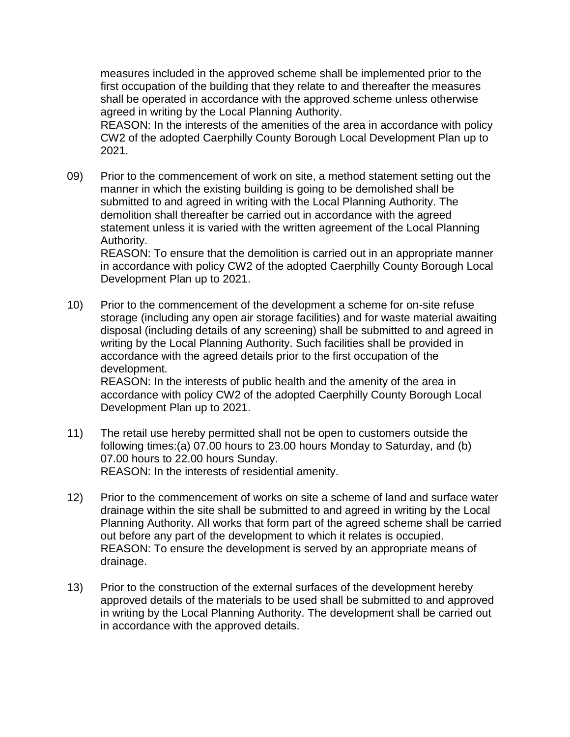measures included in the approved scheme shall be implemented prior to the first occupation of the building that they relate to and thereafter the measures shall be operated in accordance with the approved scheme unless otherwise agreed in writing by the Local Planning Authority.

REASON: In the interests of the amenities of the area in accordance with policy CW2 of the adopted Caerphilly County Borough Local Development Plan up to 2021.

09) Prior to the commencement of work on site, a method statement setting out the manner in which the existing building is going to be demolished shall be submitted to and agreed in writing with the Local Planning Authority. The demolition shall thereafter be carried out in accordance with the agreed statement unless it is varied with the written agreement of the Local Planning Authority.

REASON: To ensure that the demolition is carried out in an appropriate manner in accordance with policy CW2 of the adopted Caerphilly County Borough Local Development Plan up to 2021.

10) Prior to the commencement of the development a scheme for on-site refuse storage (including any open air storage facilities) and for waste material awaiting disposal (including details of any screening) shall be submitted to and agreed in writing by the Local Planning Authority. Such facilities shall be provided in accordance with the agreed details prior to the first occupation of the development.

REASON: In the interests of public health and the amenity of the area in accordance with policy CW2 of the adopted Caerphilly County Borough Local Development Plan up to 2021.

- 11) The retail use hereby permitted shall not be open to customers outside the following times:(a) 07.00 hours to 23.00 hours Monday to Saturday, and (b) 07.00 hours to 22.00 hours Sunday. REASON: In the interests of residential amenity.
- 12) Prior to the commencement of works on site a scheme of land and surface water drainage within the site shall be submitted to and agreed in writing by the Local Planning Authority. All works that form part of the agreed scheme shall be carried out before any part of the development to which it relates is occupied. REASON: To ensure the development is served by an appropriate means of drainage.
- 13) Prior to the construction of the external surfaces of the development hereby approved details of the materials to be used shall be submitted to and approved in writing by the Local Planning Authority. The development shall be carried out in accordance with the approved details.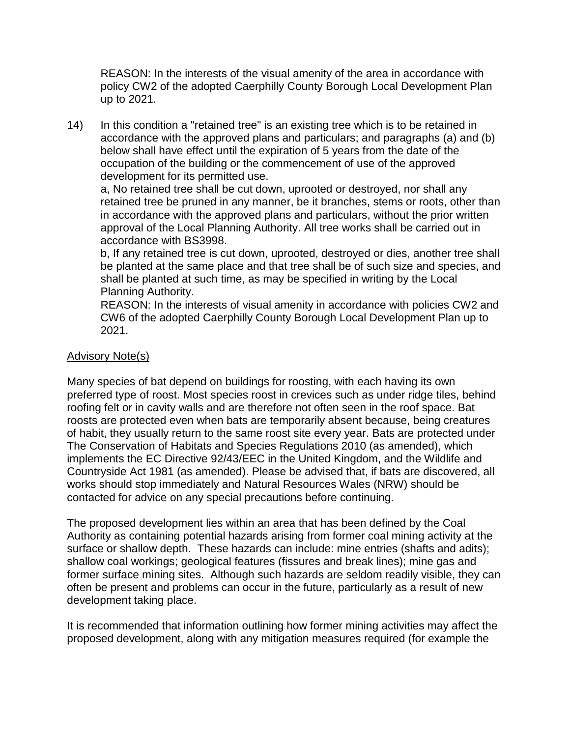REASON: In the interests of the visual amenity of the area in accordance with policy CW2 of the adopted Caerphilly County Borough Local Development Plan up to 2021.

14) In this condition a "retained tree" is an existing tree which is to be retained in accordance with the approved plans and particulars; and paragraphs (a) and (b) below shall have effect until the expiration of 5 years from the date of the occupation of the building or the commencement of use of the approved development for its permitted use.

a, No retained tree shall be cut down, uprooted or destroyed, nor shall any retained tree be pruned in any manner, be it branches, stems or roots, other than in accordance with the approved plans and particulars, without the prior written approval of the Local Planning Authority. All tree works shall be carried out in accordance with BS3998.

b, If any retained tree is cut down, uprooted, destroyed or dies, another tree shall be planted at the same place and that tree shall be of such size and species, and shall be planted at such time, as may be specified in writing by the Local Planning Authority.

REASON: In the interests of visual amenity in accordance with policies CW2 and CW6 of the adopted Caerphilly County Borough Local Development Plan up to 2021.

### Advisory Note(s)

Many species of bat depend on buildings for roosting, with each having its own preferred type of roost. Most species roost in crevices such as under ridge tiles, behind roofing felt or in cavity walls and are therefore not often seen in the roof space. Bat roosts are protected even when bats are temporarily absent because, being creatures of habit, they usually return to the same roost site every year. Bats are protected under The Conservation of Habitats and Species Regulations 2010 (as amended), which implements the EC Directive 92/43/EEC in the United Kingdom, and the Wildlife and Countryside Act 1981 (as amended). Please be advised that, if bats are discovered, all works should stop immediately and Natural Resources Wales (NRW) should be contacted for advice on any special precautions before continuing.

The proposed development lies within an area that has been defined by the Coal Authority as containing potential hazards arising from former coal mining activity at the surface or shallow depth. These hazards can include: mine entries (shafts and adits); shallow coal workings; geological features (fissures and break lines); mine gas and former surface mining sites. Although such hazards are seldom readily visible, they can often be present and problems can occur in the future, particularly as a result of new development taking place.

It is recommended that information outlining how former mining activities may affect the proposed development, along with any mitigation measures required (for example the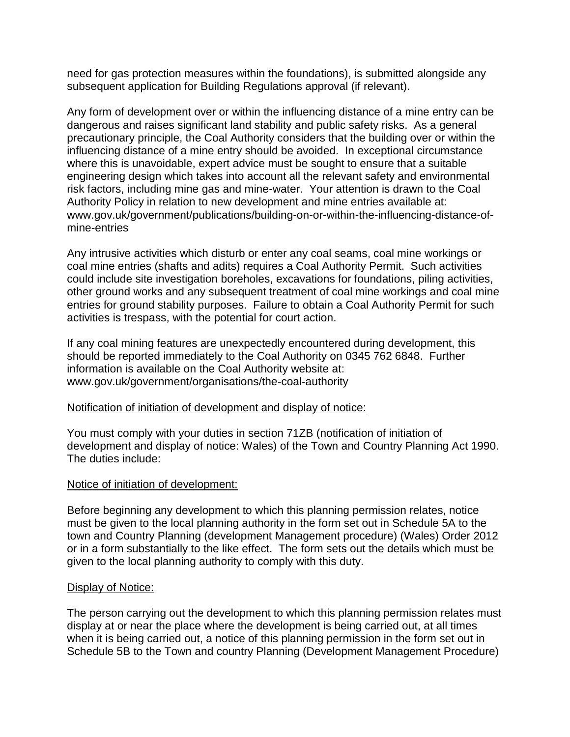need for gas protection measures within the foundations), is submitted alongside any subsequent application for Building Regulations approval (if relevant).

Any form of development over or within the influencing distance of a mine entry can be dangerous and raises significant land stability and public safety risks. As a general precautionary principle, the Coal Authority considers that the building over or within the influencing distance of a mine entry should be avoided. In exceptional circumstance where this is unavoidable, expert advice must be sought to ensure that a suitable engineering design which takes into account all the relevant safety and environmental risk factors, including mine gas and mine-water. Your attention is drawn to the Coal Authority Policy in relation to new development and mine entries available at: www.gov.uk/government/publications/building-on-or-within-the-influencing-distance-ofmine-entries

Any intrusive activities which disturb or enter any coal seams, coal mine workings or coal mine entries (shafts and adits) requires a Coal Authority Permit. Such activities could include site investigation boreholes, excavations for foundations, piling activities, other ground works and any subsequent treatment of coal mine workings and coal mine entries for ground stability purposes. Failure to obtain a Coal Authority Permit for such activities is trespass, with the potential for court action.

If any coal mining features are unexpectedly encountered during development, this should be reported immediately to the Coal Authority on 0345 762 6848. Further information is available on the Coal Authority website at: www.gov.uk/government/organisations/the-coal-authority

#### Notification of initiation of development and display of notice:

You must comply with your duties in section 71ZB (notification of initiation of development and display of notice: Wales) of the Town and Country Planning Act 1990. The duties include:

#### Notice of initiation of development:

Before beginning any development to which this planning permission relates, notice must be given to the local planning authority in the form set out in Schedule 5A to the town and Country Planning (development Management procedure) (Wales) Order 2012 or in a form substantially to the like effect. The form sets out the details which must be given to the local planning authority to comply with this duty.

#### Display of Notice:

The person carrying out the development to which this planning permission relates must display at or near the place where the development is being carried out, at all times when it is being carried out, a notice of this planning permission in the form set out in Schedule 5B to the Town and country Planning (Development Management Procedure)